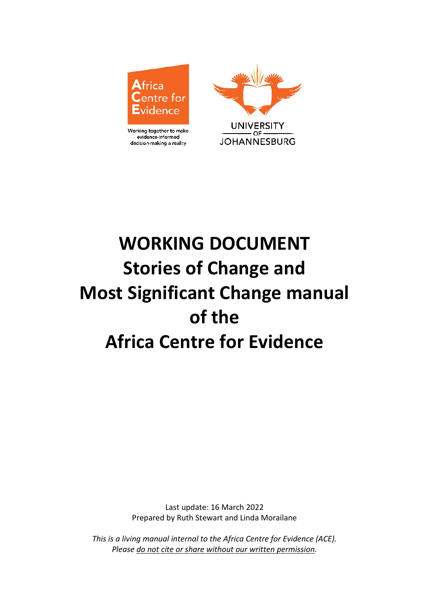

Working together to make evidence-informed decision-making a reality



# **WORKING DOCUMENT Stories of Change and Most Significant Change manual of the Africa Centre for Evidence**

Last update: 16 March 2022 Prepared by Ruth Stewart and Linda Morailane

*This is a living manual internal to the Africa Centre for Evidence (ACE). Please do not cite or share without our written permission.*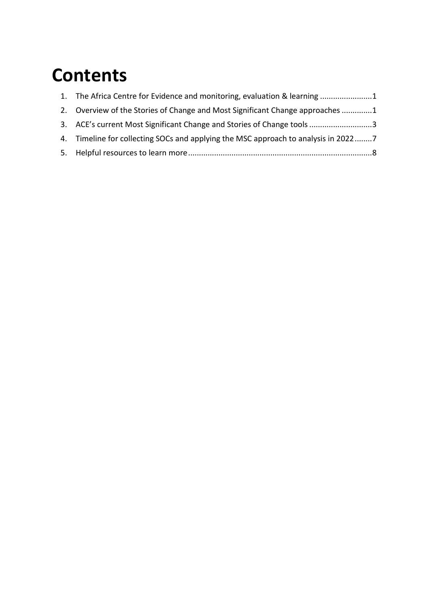## **Contents**

| 1. The Africa Centre for Evidence and monitoring, evaluation & learning 1          |  |
|------------------------------------------------------------------------------------|--|
| 2. Overview of the Stories of Change and Most Significant Change approaches 1      |  |
| 3. ACE's current Most Significant Change and Stories of Change tools3              |  |
| 4. Timeline for collecting SOCs and applying the MSC approach to analysis in 20227 |  |
|                                                                                    |  |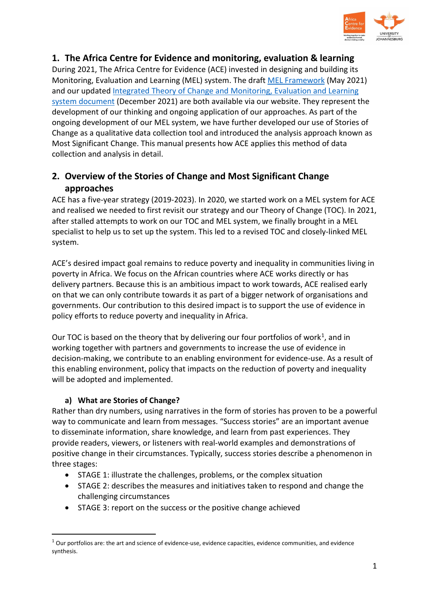

<span id="page-2-0"></span>**1. The Africa Centre for Evidence and monitoring, evaluation & learning**  During 2021, The Africa Centre for Evidence (ACE) invested in designing and building its Monitoring, Evaluation and Learning (MEL) system. The draft [MEL Framework](https://africacentreforevidence.org/wp-content/uploads/2021/06/ACE-MEL-Framework_2021_final4web.pdf) (May 2021) and our updated Integrated Theory of Change and Monitoring, Evaluation and Learning [system document](https://africacentreforevidence.org/wp-content/uploads/2022/04/ACE-TOC-MEL-working-document_final.pdf) (December 2021) are both available via our website. They represent the development of our thinking and ongoing application of our approaches. As part of the ongoing development of our MEL system, we have further developed our use of Stories of Change as a qualitative data collection tool and introduced the analysis approach known as Most Significant Change. This manual presents how ACE applies this method of data collection and analysis in detail.

## <span id="page-2-1"></span>**2. Overview of the Stories of Change and Most Significant Change approaches**

ACE has a five-year [strategy](https://africacentreforevidence.org/wp-content/uploads/2019/08/190516_ACE-Strategy-v1.6.pdf) (2019-2023). In 2020, we started work on a MEL system for ACE and realised we needed to first revisit our strategy and our Theory of Change (TOC). In 2021, after stalled attempts to work on our TOC and MEL system, we finally brought in a MEL specialist to help us to set up the system. This led to a revised TOC and closely-linked MEL system.

ACE's desired impact goal remains to reduce poverty and inequality in communities living in poverty in Africa. We focus on the African countries where ACE works directly or has delivery partners. Because this is an ambitious impact to work towards, ACE realised early on that we can only contribute towards it as part of a bigger network of organisations and governments. Our contribution to this desired impact is to support the use of evidence in policy efforts to reduce poverty and inequality in Africa.

Our TOC is based on the theory that by delivering our four portfolios of work<sup>1</sup>, and in working together with partners and governments to increase the use of evidence in decision-making, we contribute to an enabling environment for evidence-use. As a result of this enabling environment, policy that impacts on the reduction of poverty and inequality will be adopted and implemented.

#### **a) What are Stories of Change?**

 $\overline{a}$ 

Rather than dry numbers, using narratives in the form of stories has proven to be a powerful way to communicate and learn from messages. "Success stories" are an important avenue to disseminate information, share knowledge, and learn from past experiences. They provide readers, viewers, or listeners with real-world examples and demonstrations of positive change in their circumstances. Typically, success stories describe a phenomenon in three stages:

- STAGE 1: illustrate the challenges, problems, or the complex situation
- STAGE 2: describes the measures and initiatives taken to respond and change the challenging circumstances
- STAGE 3: report on the success or the positive change achieved

<span id="page-2-2"></span> $1$  Our portfolios are: the art and science of evidence-use, evidence capacities, evidence communities, and evidence synthesis.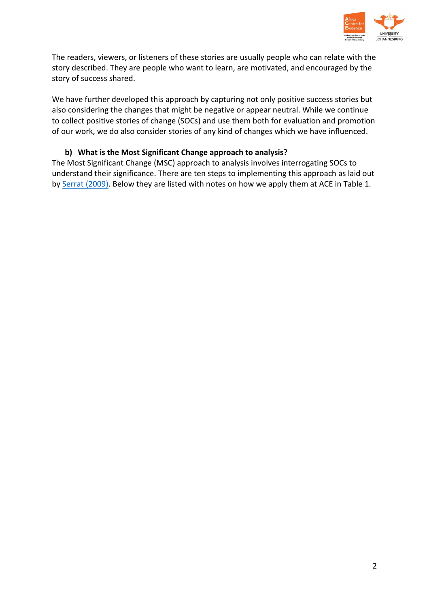

The readers, viewers, or listeners of these stories are usually people who can relate with the story described. They are people who want to learn, are motivated, and encouraged by the story of success shared.

We have further developed this approach by capturing not only positive success stories but also considering the changes that might be negative or appear neutral. While we continue to collect positive stories of change (SOCs) and use them both for evaluation and promotion of our work, we do also consider stories of any kind of changes which we have influenced.

#### **b) What is the Most Significant Change approach to analysis?**

The Most Significant Change (MSC) approach to analysis involves interrogating SOCs to understand their significance. There are ten steps to implementing this approach as laid out by Serrat [\(2009\).](https://www.betterevaluation.org/sites/default/files/most-significant-change.pdf) Below they are listed with notes on how we apply them at ACE in Table 1.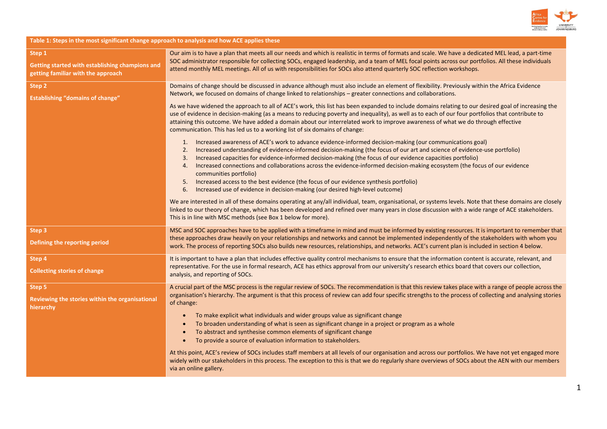

**Table 1: Steps in the most significant change approach to analysis and how ACE applies these** 

| Step 1<br>Getting started with establishing champions and<br>getting familiar with the approach | Our aim is to have a plan that meets all our needs and which is realistic in terms of formats and scale. We have a dedicated MEL lead, a part-time<br>SOC administrator responsible for collecting SOCs, engaged leadership, and a team of MEL focal points across our portfolios. All these individuals<br>attend monthly MEL meetings. All of us with responsibilities for SOCs also attend quarterly SOC reflection workshops.                                                                                                                                                                                                                                                                                       |
|-------------------------------------------------------------------------------------------------|-------------------------------------------------------------------------------------------------------------------------------------------------------------------------------------------------------------------------------------------------------------------------------------------------------------------------------------------------------------------------------------------------------------------------------------------------------------------------------------------------------------------------------------------------------------------------------------------------------------------------------------------------------------------------------------------------------------------------|
| Step 2<br><b>Establishing "domains of change"</b>                                               | Domains of change should be discussed in advance although must also include an element of flexibility. Previously within the Africa Evidence<br>Network, we focused on domains of change linked to relationships - greater connections and collaborations.                                                                                                                                                                                                                                                                                                                                                                                                                                                              |
|                                                                                                 | As we have widened the approach to all of ACE's work, this list has been expanded to include domains relating to our desired goal of increasing the<br>use of evidence in decision-making (as a means to reducing poverty and inequality), as well as to each of our four portfolios that contribute to<br>attaining this outcome. We have added a domain about our interrelated work to improve awareness of what we do through effective<br>communication. This has led us to a working list of six domains of change:                                                                                                                                                                                                |
|                                                                                                 | 1. Increased awareness of ACE's work to advance evidence-informed decision-making (our communications goal)<br>Increased understanding of evidence-informed decision-making (the focus of our art and science of evidence-use portfolio)<br>2.<br>Increased capacities for evidence-informed decision-making (the focus of our evidence capacities portfolio)<br>3.<br>Increased connections and collaborations across the evidence-informed decision-making ecosystem (the focus of our evidence<br>4.<br>communities portfolio)<br>Increased access to the best evidence (the focus of our evidence synthesis portfolio)<br>5.<br>Increased use of evidence in decision-making (our desired high-level outcome)<br>6. |
|                                                                                                 | We are interested in all of these domains operating at any/all individual, team, organisational, or systems levels. Note that these domains are closely<br>linked to our theory of change, which has been developed and refined over many years in close discussion with a wide range of ACE stakeholders.<br>This is in line with MSC methods (see Box 1 below for more).                                                                                                                                                                                                                                                                                                                                              |
| Step 3<br>Defining the reporting period                                                         | MSC and SOC approaches have to be applied with a timeframe in mind and must be informed by existing resources. It is important to remember that<br>these approaches draw heavily on your relationships and networks and cannot be implemented independently of the stakeholders with whom you<br>work. The process of reporting SOCs also builds new resources, relationships, and networks. ACE's current plan is included in section 4 below.                                                                                                                                                                                                                                                                         |
| Step 4<br><b>Collecting stories of change</b>                                                   | It is important to have a plan that includes effective quality control mechanisms to ensure that the information content is accurate, relevant, and<br>representative. For the use in formal research, ACE has ethics approval from our university's research ethics board that covers our collection,<br>analysis, and reporting of SOCs.                                                                                                                                                                                                                                                                                                                                                                              |
| Step 5<br>Reviewing the stories within the organisational<br>hierarchy                          | A crucial part of the MSC process is the regular review of SOCs. The recommendation is that this review takes place with a range of people across the<br>organisation's hierarchy. The argument is that this process of review can add four specific strengths to the process of collecting and analysing stories<br>of change:<br>To make explicit what individuals and wider groups value as significant change<br>To broaden understanding of what is seen as significant change in a project or program as a whole<br>To abstract and synthesise common elements of significant change<br>To provide a source of evaluation information to stakeholders.                                                            |
|                                                                                                 | At this point, ACE's review of SOCs includes staff members at all levels of our organisation and across our portfolios. We have not yet engaged more<br>widely with our stakeholders in this process. The exception to this is that we do regularly share overviews of SOCs about the AEN with our members<br>via an online gallery.                                                                                                                                                                                                                                                                                                                                                                                    |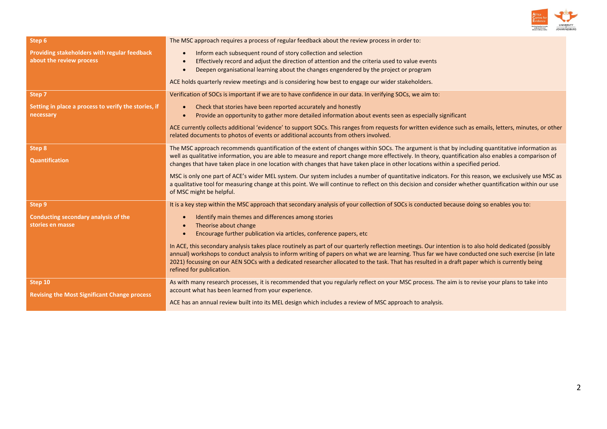

| Step 6                                                                   | The MSC approach requires a process of regular feedback about the review process in order to:                                                                                                                                                                                                                                                                                                                                                                                           |
|--------------------------------------------------------------------------|-----------------------------------------------------------------------------------------------------------------------------------------------------------------------------------------------------------------------------------------------------------------------------------------------------------------------------------------------------------------------------------------------------------------------------------------------------------------------------------------|
| Providing stakeholders with regular feedback<br>about the review process | Inform each subsequent round of story collection and selection<br>Effectively record and adjust the direction of attention and the criteria used to value events<br>Deepen organisational learning about the changes engendered by the project or program                                                                                                                                                                                                                               |
|                                                                          | ACE holds quarterly review meetings and is considering how best to engage our wider stakeholders.                                                                                                                                                                                                                                                                                                                                                                                       |
| Step 7                                                                   | Verification of SOCs is important if we are to have confidence in our data. In verifying SOCs, we aim to:                                                                                                                                                                                                                                                                                                                                                                               |
| Setting in place a process to verify the stories, if<br>necessary        | Check that stories have been reported accurately and honestly<br>Provide an opportunity to gather more detailed information about events seen as especially significant                                                                                                                                                                                                                                                                                                                 |
|                                                                          | ACE currently collects additional 'evidence' to support SOCs. This ranges from requests for written evidence such as emails, letters, minutes, or other<br>related documents to photos of events or additional accounts from others involved.                                                                                                                                                                                                                                           |
| Step 8                                                                   | The MSC approach recommends quantification of the extent of changes within SOCs. The argument is that by including quantitative information as                                                                                                                                                                                                                                                                                                                                          |
| <b>Quantification</b>                                                    | well as qualitative information, you are able to measure and report change more effectively. In theory, quantification also enables a comparison of<br>changes that have taken place in one location with changes that have taken place in other locations within a specified period.                                                                                                                                                                                                   |
|                                                                          | MSC is only one part of ACE's wider MEL system. Our system includes a number of quantitative indicators. For this reason, we exclusively use MSC as<br>a qualitative tool for measuring change at this point. We will continue to reflect on this decision and consider whether quantification within our use<br>of MSC might be helpful.                                                                                                                                               |
| Step 9                                                                   | It is a key step within the MSC approach that secondary analysis of your collection of SOCs is conducted because doing so enables you to:                                                                                                                                                                                                                                                                                                                                               |
| Conducting secondary analysis of the<br>stories en masse                 | Identify main themes and differences among stories<br>Theorise about change<br>Encourage further publication via articles, conference papers, etc.                                                                                                                                                                                                                                                                                                                                      |
|                                                                          | In ACE, this secondary analysis takes place routinely as part of our quarterly reflection meetings. Our intention is to also hold dedicated (possibly<br>annual) workshops to conduct analysis to inform writing of papers on what we are learning. Thus far we have conducted one such exercise (in late<br>2021) focussing on our AEN SOCs with a dedicated researcher allocated to the task. That has resulted in a draft paper which is currently being<br>refined for publication. |
| Step 10                                                                  | As with many research processes, it is recommended that you regularly reflect on your MSC process. The aim is to revise your plans to take into<br>account what has been learned from your experience.                                                                                                                                                                                                                                                                                  |
| <b>Revising the Most Significant Change process</b>                      | ACE has an annual review built into its MEL design which includes a review of MSC approach to analysis.                                                                                                                                                                                                                                                                                                                                                                                 |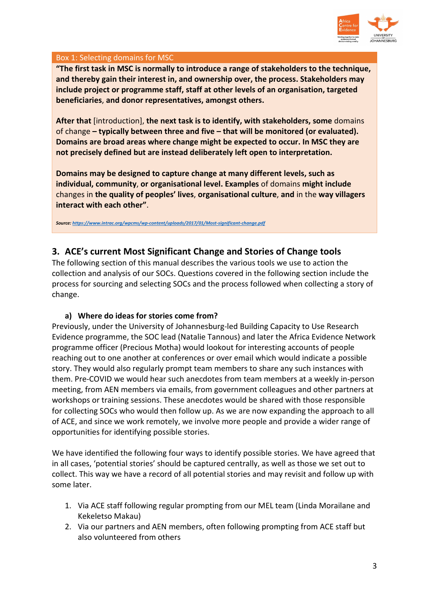

#### Box 1: Selecting domains for MSC

**"The first task in MSC is normally to introduce a range of stakeholders to the technique, and thereby gain their interest in, and ownership over, the process. Stakeholders may include project or programme staff, staff at other levels of an organisation, targeted beneficiaries**, **and donor representatives, amongst others.** 

**After that** [introduction], **the next task is to identify, with stakeholders, some** domains of change **– typically between three and five – that will be monitored (or evaluated). Domains are broad areas where change might be expected to occur. In MSC they are not precisely defined but are instead deliberately left open to interpretation.** 

**Domains may be designed to capture change at many different levels, such as individual, community**, **or organisational level. Examples** of domains **might include** changes in **the quality of peoples' lives**, **organisational culture**, **and** in the **way villagers interact with each other"**.

*Source[: https://www.intrac.org/wpcms/wp-content/uploads/2017/01/Most-significant-change.pdf](https://www.intrac.org/wpcms/wp-content/uploads/2017/01/Most-significant-change.pdf)*

## <span id="page-6-0"></span>**3. ACE's current Most Significant Change and Stories of Change tools**

The following section of this manual describes the various tools we use to action the collection and analysis of our SOCs. Questions covered in the following section include the process for sourcing and selecting SOCs and the process followed when collecting a story of change.

#### **a) Where do ideas for stories come from?**

Previously, under the University of Johannesburg-led Building Capacity to Use Research Evidence programme, the SOC lead (Natalie Tannous) and later the Africa Evidence Network programme officer (Precious Motha) would lookout for interesting accounts of people reaching out to one another at conferences or over email which would indicate a possible story. They would also regularly prompt team members to share any such instances with them. Pre-COVID we would hear such anecdotes from team members at a weekly in-person meeting, from AEN members via emails, from government colleagues and other partners at workshops or training sessions. These anecdotes would be shared with those responsible for collecting SOCs who would then follow up. As we are now expanding the approach to all of ACE, and since we work remotely, we involve more people and provide a wider range of opportunities for identifying possible stories.

We have identified the following four ways to identify possible stories. We have agreed that in all cases, 'potential stories' should be captured centrally, as well as those we set out to collect. This way we have a record of all potential stories and may revisit and follow up with some later.

- 1. Via ACE staff following regular prompting from our MEL team (Linda Morailane and Kekeletso Makau)
- 2. Via our partners and AEN members, often following prompting from ACE staff but also volunteered from others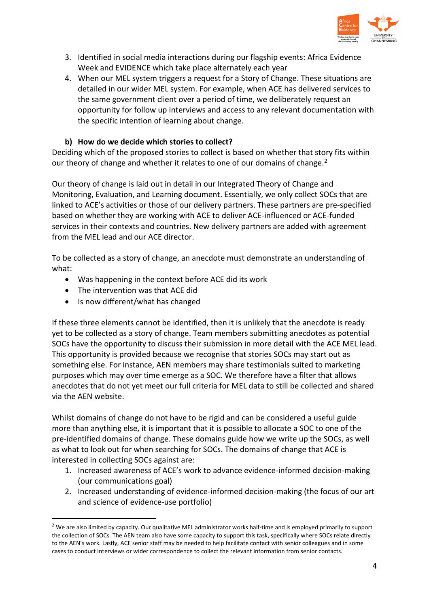

- 3. Identified in social media interactions during our flagship events: Africa Evidence Week and EVIDENCE which take place alternately each year
- 4. When our MEL system triggers a request for a Story of Change. These situations are detailed in our wider MEL system. For example, when ACE has delivered services to the same government client over a period of time, we deliberately request an opportunity for follow up interviews and access to any relevant documentation with the specific intention of learning about change.

#### **b) How do we decide which stories to collect?**

Deciding which of the proposed stories to collect is based on whether that story fits within our theory of change and whether it relates to one of our domains of change.<sup>[2](#page-7-0)</sup>

Our theory of change is laid out in detail in our Integrated Theory of Change and Monitoring, Evaluation, and Learning document. Essentially, we only collect SOCs that are linked to ACE's activities or those of our delivery partners. These partners are pre-specified based on whether they are working with ACE to deliver ACE-influenced or ACE-funded services in their contexts and countries. New delivery partners are added with agreement from the MEL lead and our ACE director.

To be collected as a story of change, an anecdote must demonstrate an understanding of what:

- Was happening in the context before ACE did its work
- The intervention was that ACE did
- Is now different/what has changed

If these three elements cannot be identified, then it is unlikely that the anecdote is ready yet to be collected as a story of change. Team members submitting anecdotes as potential SOCs have the opportunity to discuss their submission in more detail with the ACE MEL lead. This opportunity is provided because we recognise that stories SOCs may start out as something else. For instance, AEN members may share testimonials suited to marketing purposes which may over time emerge as a SOC. We therefore have a filter that allows anecdotes that do not yet meet our full criteria for MEL data to still be collected and shared via the AEN website.

Whilst domains of change do not have to be rigid and can be considered a useful guide more than anything else, it is important that it is possible to allocate a SOC to one of the pre-identified domains of change. These domains guide how we write up the SOCs, as well as what to look out for when searching for SOCs. The domains of change that ACE is interested in collecting SOCs against are:

- 1. Increased awareness of ACE's work to advance evidence-informed decision-making (our communications goal)
- 2. Increased understanding of evidence-informed decision-making (the focus of our art and science of evidence-use portfolio)

<span id="page-7-0"></span><sup>&</sup>lt;sup>2</sup> We are also limited by capacity. Our qualitative MEL administrator works half-time and is employed primarily to support the collection of SOCs. The AEN team also have some capacity to support this task, specifically where SOCs relate directly to the AEN's work. Lastly, ACE senior staff may be needed to help facilitate contact with senior colleagues and in some cases to conduct interviews or wider correspondence to collect the relevant information from senior contacts.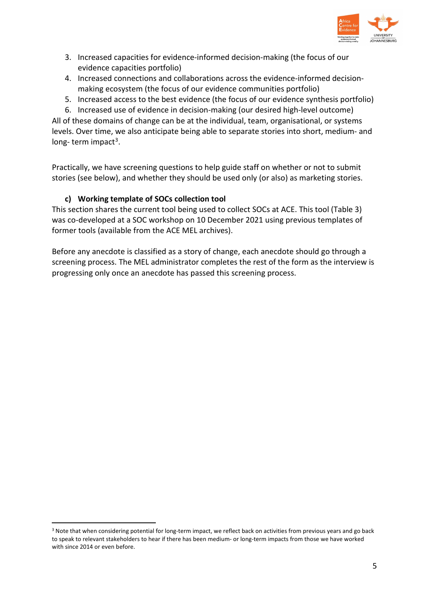

- 3. Increased capacities for evidence-informed decision-making (the focus of our evidence capacities portfolio)
- 4. Increased connections and collaborations across the evidence-informed decisionmaking ecosystem (the focus of our evidence communities portfolio)
- 5. Increased access to the best evidence (the focus of our evidence synthesis portfolio)

6. Increased use of evidence in decision-making (our desired high-level outcome) All of these domains of change can be at the individual, team, organisational, or systems levels. Over time, we also anticipate being able to separate stories into short, medium- and long- term impact<sup>3</sup>.

Practically, we have screening questions to help guide staff on whether or not to submit stories (see below), and whether they should be used only (or also) as marketing stories.

## **c) Working template of SOCs collection tool**

This section shares the current tool being used to collect SOCs at ACE. This tool (Table 3) was co-developed at a SOC workshop on 10 December 2021 using previous templates of former tools (available from the ACE MEL archives).

Before any anecdote is classified as a story of change, each anecdote should go through a screening process. The MEL administrator completes the rest of the form as the interview is progressing only once an anecdote has passed this screening process.

<span id="page-8-0"></span><sup>&</sup>lt;sup>3</sup> Note that when considering potential for long-term impact, we reflect back on activities from previous years and go back to speak to relevant stakeholders to hear if there has been medium- or long-term impacts from those we have worked with since 2014 or even before.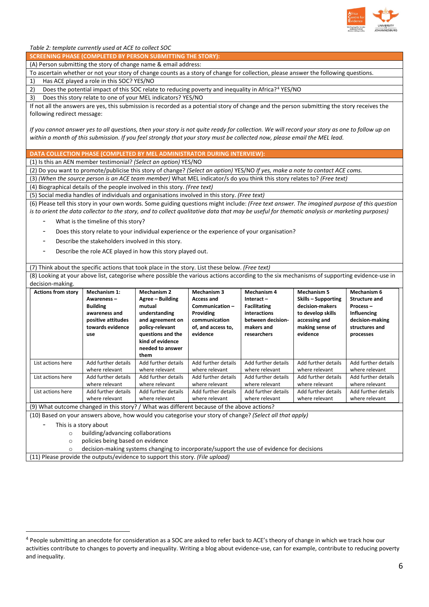

*Table 2: template currently used at ACE to collect SOC* 

**SCREENING PHASE (COMPLETED BY PERSON SUBMITTING THE STORY):** 

(A) Person submitting the story of change name & email address:

To ascertain whether or not your story of change counts as a story of change for collection, please answer the following questions. 1) Has ACE played a role in this SOC? YES/NO

2) Does the potential impact of this SOC relate to reducing poverty and inequality in Africa?<sup>[4](#page-9-0)</sup> YES/NO

3) Does this story relate to one of your MEL indicators? YES/NO

If not all the answers are yes, this submission is recorded as a potential story of change and the person submitting the story receives the following redirect message:

*If you cannot answer yes to all questions, then your story is not quite ready for collection. We will record your story as one to follow up on within a month of this submission. If you feel strongly that your story must be collected now, please email the MEL lead.* 

**DATA COLLECTION PHASE (COMPLETED BY MEL ADMINISTRATOR DURING INTERVIEW):** 

(1) Is this an AEN member testimonial? *(Select an option)* YES/NO

(2) Do you want to promote/publicise this story of change? *(Select an option)* YES/NO *If yes, make a note to contact ACE coms.*

(3) *(When the source person is an ACE team member)* What MEL indicator/s do you think this story relates to? *(Free text)*

(4) Biographical details of the people involved in this story. *(Free text)*

(5) Social media handles of individuals and organisations involved in this story. *(Free text)* 

(6) Please tell this story in your own words. Some guiding questions might include: *(Free text answer. The imagined purpose of this question is to orient the data collector to the story, and to collect qualitative data that may be useful for thematic analysis or marketing purposes)*

- What is the timeline of this story?
- Does this story relate to your individual experience or the experience of your organisation?
- Describe the stakeholders involved in this story.
- Describe the role ACE played in how this story played out.

(7) Think about the specific actions that took place in the story. List these below. *(Free text)* 

(8) Looking at your above list, categorise where possible the various actions according to the six mechanisms of supporting evidence-use in decision-making.

| <b>Actions from story</b> | Mechanism 1:                                                                                    | <b>Mechanism 2</b>                                                                                                                                      | <b>Mechanism 3</b>                                                                                  | <b>Mechanism 4</b>                                                                                 | Mechanism 5                                                                                                 | Mechanism 6                                                                                       |
|---------------------------|-------------------------------------------------------------------------------------------------|---------------------------------------------------------------------------------------------------------------------------------------------------------|-----------------------------------------------------------------------------------------------------|----------------------------------------------------------------------------------------------------|-------------------------------------------------------------------------------------------------------------|---------------------------------------------------------------------------------------------------|
|                           | Awareness-<br><b>Building</b><br>awareness and<br>positive attitudes<br>towards evidence<br>use | Agree - Building<br>mutual<br>understanding<br>and agreement on<br>policy-relevant<br>questions and the<br>kind of evidence<br>needed to answer<br>them | <b>Access and</b><br>Communication-<br>Providing<br>communication<br>of, and access to,<br>evidence | Interact-<br><b>Facilitating</b><br>interactions<br>between decision-<br>makers and<br>researchers | Skills - Supporting<br>decision-makers<br>to develop skills<br>accessing and<br>making sense of<br>evidence | <b>Structure and</b><br>Process-<br>Influencing<br>decision-making<br>structures and<br>processes |
| List actions here         | Add further details<br>where relevant                                                           | Add further details<br>where relevant                                                                                                                   | Add further details<br>where relevant                                                               | Add further details<br>where relevant                                                              | Add further details<br>where relevant                                                                       | Add further details<br>where relevant                                                             |
| List actions here         | Add further details<br>where relevant                                                           | Add further details<br>where relevant                                                                                                                   | Add further details<br>where relevant                                                               | Add further details<br>where relevant                                                              | Add further details<br>where relevant                                                                       | Add further details<br>where relevant                                                             |
| List actions here         | Add further details<br>where relevant                                                           | Add further details<br>where relevant                                                                                                                   | Add further details<br>where relevant                                                               | Add further details<br>where relevant                                                              | Add further details<br>where relevant                                                                       | Add further details<br>where relevant                                                             |

(9) What outcome changed in this story? / What was different because of the above actions?

(10) Based on your answers above, how would you categorise your story of change? *(Select all that apply)*

This is a story about

 $\overline{a}$ 

o building/advancing collaborations

o policies being based on evidence

decision-making systems changing to incorporate/support the use of evidence for decisions

(11) Please provide the outputs/evidence to support this story. *(File upload)* 

<span id="page-9-0"></span><sup>&</sup>lt;sup>4</sup> People submitting an anecdote for consideration as a SOC are asked to refer back to ACE's theory of change in which we track how our activities contribute to changes to poverty and inequality. Writing a blog about evidence-use, can for example, contribute to reducing poverty and inequality.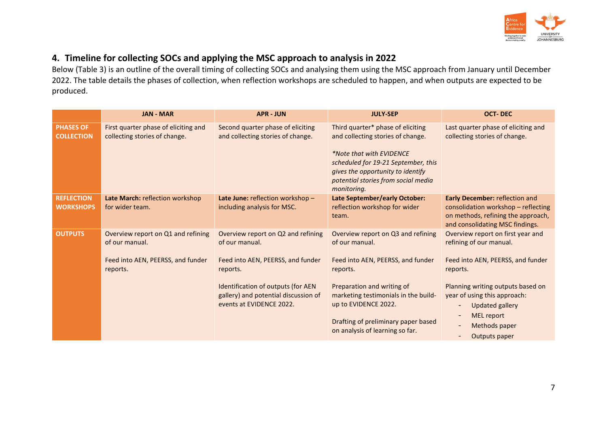

## **4. Timeline for collecting SOCs and applying the MSC approach to analysis in 2022**

Below (Table 3) is an outline of the overall timing of collecting SOCs and analysing them using the MSC approach from January until December 2022. The table details the phases of collection, when reflection workshops are scheduled to happen, and when outputs are expected to be produced.

<span id="page-10-0"></span>

|                                       | <b>JAN - MAR</b>                                                                                      | <b>APR - JUN</b>                                                                                                                                                                                                | <b>JULY-SEP</b>                                                                                                                                                                                                                                                               | <b>OCT-DEC</b>                                                                                                                                                                                                                                                      |
|---------------------------------------|-------------------------------------------------------------------------------------------------------|-----------------------------------------------------------------------------------------------------------------------------------------------------------------------------------------------------------------|-------------------------------------------------------------------------------------------------------------------------------------------------------------------------------------------------------------------------------------------------------------------------------|---------------------------------------------------------------------------------------------------------------------------------------------------------------------------------------------------------------------------------------------------------------------|
| <b>PHASES OF</b><br><b>COLLECTION</b> | First quarter phase of eliciting and<br>collecting stories of change.                                 | Second quarter phase of eliciting<br>and collecting stories of change.                                                                                                                                          | Third quarter* phase of eliciting<br>and collecting stories of change.<br>*Note that with EVIDENCE<br>scheduled for 19-21 September, this<br>gives the opportunity to identify<br>potential stories from social media<br>monitoring.                                          | Last quarter phase of eliciting and<br>collecting stories of change.                                                                                                                                                                                                |
| <b>REFLECTION</b><br><b>WORKSHOPS</b> | Late March: reflection workshop<br>for wider team.                                                    | Late June: reflection workshop -<br>including analysis for MSC.                                                                                                                                                 | Late September/early October:<br>reflection workshop for wider<br>team.                                                                                                                                                                                                       | <b>Early December: reflection and</b><br>consolidation workshop - reflecting<br>on methods, refining the approach,<br>and consolidating MSC findings.                                                                                                               |
| <b>OUTPUTS</b>                        | Overview report on Q1 and refining<br>of our manual.<br>Feed into AEN, PEERSS, and funder<br>reports. | Overview report on Q2 and refining<br>of our manual.<br>Feed into AEN, PEERSS, and funder<br>reports.<br>Identification of outputs (for AEN<br>gallery) and potential discussion of<br>events at EVIDENCE 2022. | Overview report on Q3 and refining<br>of our manual.<br>Feed into AEN, PEERSS, and funder<br>reports.<br>Preparation and writing of<br>marketing testimonials in the build-<br>up to EVIDENCE 2022.<br>Drafting of preliminary paper based<br>on analysis of learning so far. | Overview report on first year and<br>refining of our manual.<br>Feed into AEN, PEERSS, and funder<br>reports.<br>Planning writing outputs based on<br>year of using this approach:<br><b>Updated gallery</b><br><b>MEL report</b><br>Methods paper<br>Outputs paper |